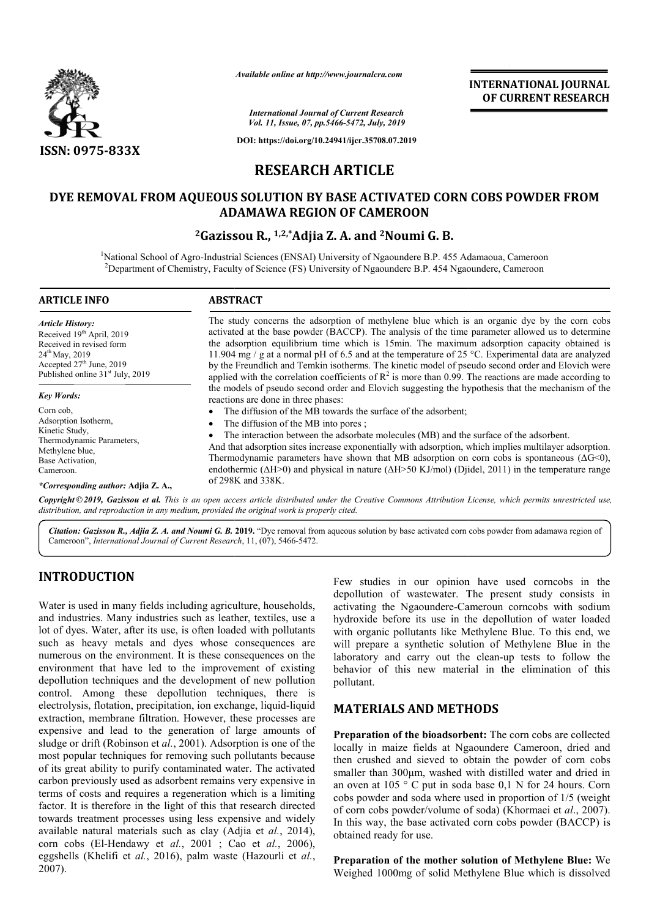

*Available online at http://www.journalcra.com*

**INTERNATIONAL JOURNAL OF CURRENT RESEARCH**

*International Journal of Current Research Vol. 11, Issue, 07, pp.5466-5472, July, 2019*

**DOI: https://doi.org/10.24941/ijcr.35708.07.2019**

# **RESEARCH ARTICLE**

## **DYE REMOVAL FROM AQUEOUS SOLUTION BY BASE ACTIVATED CORN COBS POWDER FROM ADAMAWA REGION OF CAMEROON**

## **2Gazissou Gazissou R., 1,2,\*Adjia Z. A. and 2Noumi G. B.**

<sup>1</sup>National School of Agro-Industrial Sciences (ENSAI) University of Ngaoundere B.P. 455 Adamaoua, Cameroon<sup>2</sup><br><sup>2</sup>Department of Chamistry, Feaulty of Science (ES) University of Ngaoundere B.P. 454 Ngaoundere, Cameroon Department of Chemistry, Faculty of Science (FS) University of Ngaoundere B.P. 454 Ngaoundere, Cameroon

| <b>ARTICLE INFO</b>                          | <b>ABSTRACT</b>                                                                                                                                                                                           |  |
|----------------------------------------------|-----------------------------------------------------------------------------------------------------------------------------------------------------------------------------------------------------------|--|
| <b>Article History:</b>                      | The study concerns the adsorption of methylene blue which is an organic dye by the corn cobs                                                                                                              |  |
| Received 19 <sup>th</sup> April, 2019        | activated at the base powder (BACCP). The analysis of the time parameter allowed us to determine                                                                                                          |  |
| Received in revised form                     | the adsorption equilibrium time which is 15min. The maximum adsorption capacity obtained is                                                                                                               |  |
| $24^{th}$ May, 2019                          | 11.904 mg / g at a normal pH of 6.5 and at the temperature of 25 °C. Experimental data are analyzed                                                                                                       |  |
| Accepted $27th$ June, 2019                   | by the Freundlich and Temkin isotherms. The kinetic model of pseudo second order and Elovich were                                                                                                         |  |
| Published online 31 <sup>st</sup> July, 2019 | applied with the correlation coefficients of $R^2$ is more than 0.99. The reactions are made according to                                                                                                 |  |
| <b>Key Words:</b><br>Corn cob.               | the models of pseudo second order and Elovich suggesting the hypothesis that the mechanism of the<br>reactions are done in three phases:<br>The diffusion of the MB towards the surface of the adsorbent; |  |
| Adsorption Isotherm,                         | The diffusion of the MB into pores;                                                                                                                                                                       |  |
| Kinetic Study,                               | ٠                                                                                                                                                                                                         |  |
| Thermodynamic Parameters,                    | The interaction between the adsorbate molecules (MB) and the surface of the adsorbent.                                                                                                                    |  |
| Methylene blue.                              | And that adsorption sites increase exponentially with adsorption, which implies multilayer adsorption.                                                                                                    |  |
| Base Activation.                             | Thermodynamic parameters have shown that MB adsorption on corn cobs is spontaneous ( $\Delta G < 0$ ),                                                                                                    |  |
| Cameroon.                                    | endothermic ( $\Delta H > 0$ ) and physical in nature ( $\Delta H > 50$ KJ/mol) (Djidel, 2011) in the temperature range                                                                                   |  |
| *Corresponding author: Adjia Z. A.,          | of 298K and 338K.                                                                                                                                                                                         |  |

Copyright © 2019, Gazissou et al. This is an open access article distributed under the Creative Commons Attribution License, which permits unrestricted use, *distribution, and reproduction in any medium, provided the original work is properly cited.*

Citation: Gazissou R., Adjia Z. A. and Noumi G. B. 2019. "Dye removal from aqueous solution by base activated corn cobs powder from adamawa region of Cameroon", *International Journal of Current Research* , 11, (07), 5466-5472.

### **INTRODUCTION**

Water is used in many fields including agriculture, households, and industries. Many industries such as leather, textiles, use a lot of dyes. Water, after its use, is often loaded with pollutants such as heavy metals and dyes whose consequences are numerous on the environment. It is these consequences on the environment that have led to the improvement of existing depollution techniques and the development of new pollution control. Among these depollution techniques, there is electrolysis, flotation, precipitation, ion exchange, liquid-liquid extraction, membrane filtration. However, these processes are expensive and lead to the generation of large amounts of sludge or drift (Robinson et *al.*, 2001). Adsorption is one of the most popular techniques for removing such pollutants because of its great ability to purify contaminated water. The activated carbon previously used as adsorbent remains very expensive in terms of costs and requires a regeneration which is a limiting factor. It is therefore in the light of this that research directed towards treatment processes using less expensive and widely available natural materials such as clay (Adjia et *al.*, 2014), corn cobs (El-Hendawy et *al.*, 2001 ; Cao et *al.*, 2006), eggshells (Khelifi et *al.*, 2016), palm waste (Hazourli et *al.*, 2007).

Few studies in our opinion have used corncobs in the depollution of wastewater. The present study consists in activating the Ngaoundere-Cameroun corncobs with sodium hydroxide before its use in the depollution of water loaded with organic pollutants like Methylene Blue. To this end, we will prepare a synthetic solution of Methylene Blue in the laboratory and carry out the clean-up tests to follow the behavior of this new material in the elimination of this pollutant.

## **MATERIALS AND METHODS METHODS**

**Preparation of the bioadsorbent bioadsorbent:** The corn cobs are collected locally in maize fields at Ngaoundere Cameroon, dried and then crushed and sieved to obtain the powder of corn cobs smaller than 300μm, washed with distilled water and dried in an oven at 105 ° C put in soda base 0,1 N for 24 hours. Corn cobs powder and soda where used in proportion of 1/5 (weight of corn cobs powder/volume of soda) (Khormaei et *al.*, 2007). In this way, the base activated corn cobs powder (BACCP) is obtained ready for use.

**Preparation of the mother solution of Methylene Blue:** We Weighed 1000mg of solid Methylene Blue which is dissolved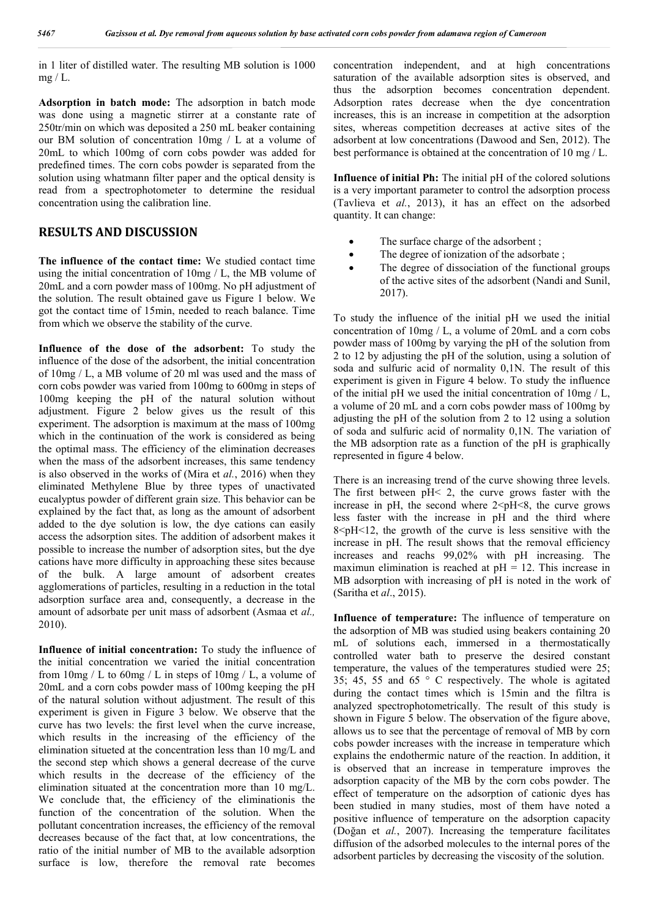in 1 liter of distilled water. The resulting MB solution is 1000  $mg/L$ .

**Adsorption in batch mode:** The adsorption in batch mode was done using a magnetic stirrer at a constante rate of 250tr/min on which was deposited a 250 mL beaker containing our BM solution of concentration 10mg / L at a volume of 20mL to which 100mg of corn cobs powder was added for predefined times. The corn cobs powder is separated from the solution using whatmann filter paper and the optical density is read from a spectrophotometer to determine the residual concentration using the calibration line.

### **RESULTS AND DISCUSSION**

**The influence of the contact time:** We studied contact time using the initial concentration of 10mg / L, the MB volume of 20mL and a corn powder mass of 100mg. No pH adjustment of the solution. The result obtained gave us Figure 1 below. We got the contact time of 15min, needed to reach balance. Time from which we observe the stability of the curve.

**Influence of the dose of the adsorbent:** To study the influence of the dose of the adsorbent, the initial concentration of 10mg / L, a MB volume of 20 ml was used and the mass of corn cobs powder was varied from 100mg to 600mg in steps of 100mg keeping the pH of the natural solution without adjustment. Figure 2 below gives us the result of this experiment. The adsorption is maximum at the mass of 100mg which in the continuation of the work is considered as being the optimal mass. The efficiency of the elimination decreases when the mass of the adsorbent increases, this same tendency is also observed in the works of (Mira et *al.*, 2016) when they eliminated Methylene Blue by three types of unactivated eucalyptus powder of different grain size. This behavior can be explained by the fact that, as long as the amount of adsorbent added to the dye solution is low, the dye cations can easily access the adsorption sites. The addition of adsorbent makes it possible to increase the number of adsorption sites, but the dye cations have more difficulty in approaching these sites because of the bulk. A large amount of adsorbent creates agglomerations of particles, resulting in a reduction in the total adsorption surface area and, consequently, a decrease in the amount of adsorbate per unit mass of adsorbent (Asmaa et *al.,* 2010).

**Influence of initial concentration:** To study the influence of the initial concentration we varied the initial concentration from  $10mg / L$  to  $60mg / L$  in steps of  $10mg / L$ , a volume of 20mL and a corn cobs powder mass of 100mg keeping the pH of the natural solution without adjustment. The result of this experiment is given in Figure 3 below. We observe that the curve has two levels: the first level when the curve increase, which results in the increasing of the efficiency of the elimination situeted at the concentration less than 10 mg/L and the second step which shows a general decrease of the curve which results in the decrease of the efficiency of the elimination situated at the concentration more than 10 mg/L. We conclude that, the efficiency of the eliminationis the function of the concentration of the solution. When the pollutant concentration increases, the efficiency of the removal decreases because of the fact that, at low concentrations, the ratio of the initial number of MB to the available adsorption surface is low, therefore the removal rate becomes

concentration independent, and at high concentrations saturation of the available adsorption sites is observed, and thus the adsorption becomes concentration dependent. Adsorption rates decrease when the dye concentration increases, this is an increase in competition at the adsorption sites, whereas competition decreases at active sites of the adsorbent at low concentrations (Dawood and Sen, 2012). The best performance is obtained at the concentration of 10 mg / L.

**Influence of initial Ph:** The initial pH of the colored solutions is a very important parameter to control the adsorption process (Tavlieva et *al.*, 2013), it has an effect on the adsorbed quantity. It can change:

- The surface charge of the adsorbent ;
- The degree of ionization of the adsorbate ;
- The degree of dissociation of the functional groups of the active sites of the adsorbent (Nandi and Sunil, 2017).

To study the influence of the initial pH we used the initial concentration of 10mg / L, a volume of 20mL and a corn cobs powder mass of 100mg by varying the pH of the solution from 2 to 12 by adjusting the pH of the solution, using a solution of soda and sulfuric acid of normality 0,1N. The result of this experiment is given in Figure 4 below. To study the influence of the initial pH we used the initial concentration of 10mg / L, a volume of 20 mL and a corn cobs powder mass of 100mg by adjusting the pH of the solution from 2 to 12 using a solution of soda and sulfuric acid of normality 0,1N. The variation of the MB adsorption rate as a function of the pH is graphically represented in figure 4 below.

There is an increasing trend of the curve showing three levels. The first between  $pH < 2$ , the curve grows faster with the increase in pH, the second where 2˂pH˂8, the curve grows less faster with the increase in pH and the third where 8˂pH˂12, the growth of the curve is less sensitive with the increase in pH. The result shows that the removal efficiency increases and reachs 99,02% with pH increasing. The maximun elimination is reached at  $pH = 12$ . This increase in MB adsorption with increasing of pH is noted in the work of (Saritha et *al*., 2015).

**Influence of temperature:** The influence of temperature on the adsorption of MB was studied using beakers containing 20 mL of solutions each, immersed in a thermostatically controlled water bath to preserve the desired constant temperature, the values of the temperatures studied were 25; 35; 45, 55 and 65 ° C respectively. The whole is agitated during the contact times which is 15min and the filtra is analyzed spectrophotometrically. The result of this study is shown in Figure 5 below. The observation of the figure above, allows us to see that the percentage of removal of MB by corn cobs powder increases with the increase in temperature which explains the endothermic nature of the reaction. In addition, it is observed that an increase in temperature improves the adsorption capacity of the MB by the corn cobs powder. The effect of temperature on the adsorption of cationic dyes has been studied in many studies, most of them have noted a positive influence of temperature on the adsorption capacity (Doğan et *al.*, 2007). Increasing the temperature facilitates diffusion of the adsorbed molecules to the internal pores of the adsorbent particles by decreasing the viscosity of the solution.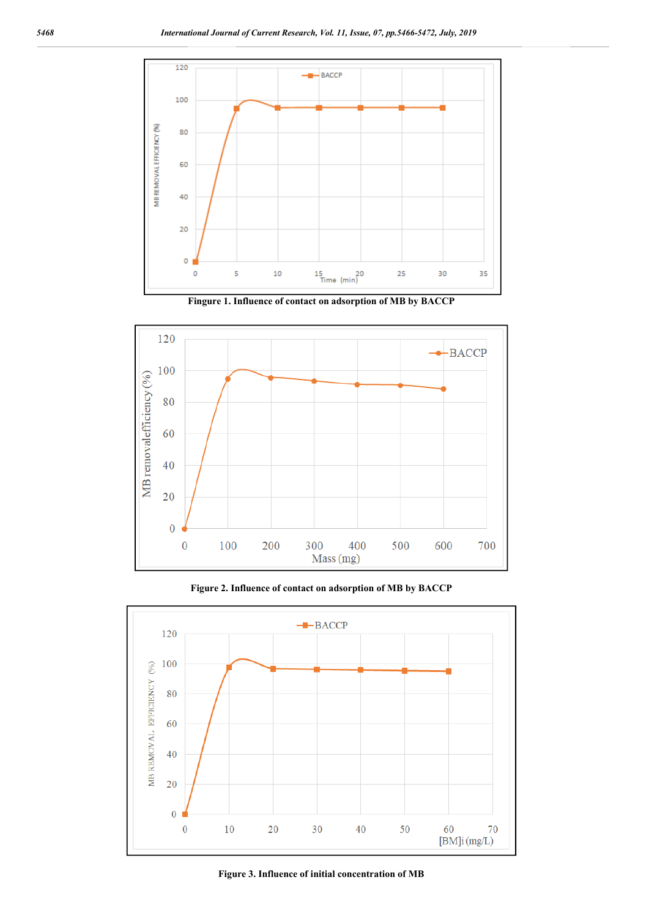

**Fingure 1. Influence of contact on adsorption of MB by BACCP**



**Figure 2. Influence of contact on adsorption of MB by BACCP**



**Figure 3. Influence of initial concentration of MB**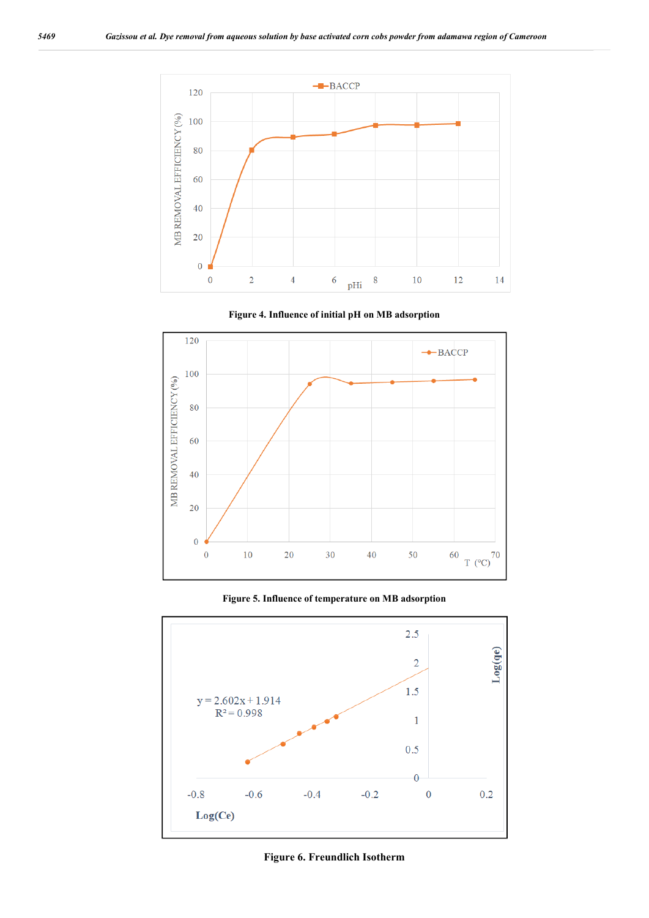

**Figure 4. Influence of initial pH on MB adsorption**



**Figure 5. Influence of temperature on MB adsorption**



**Figure 6. Freundlich Isotherm**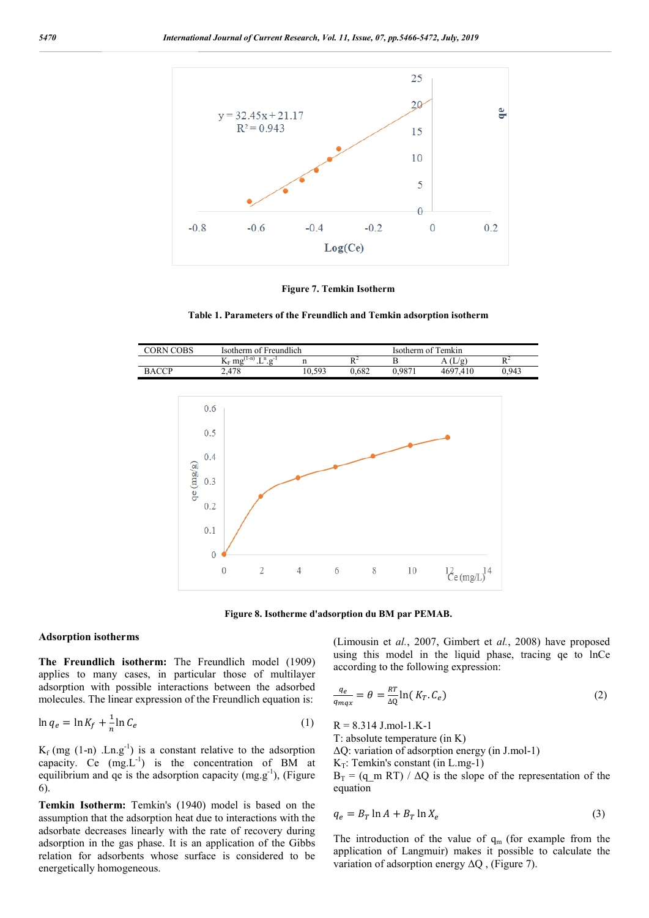

**Figure 7. Temkin Isotherm**

**Table 1. Parameters of the Freundlich and Temkin adsorption isotherm**

| $C$ $D$ <sub><math>C</math></sub><br>∩RN⊺ | Freundlich<br>lsotherm of                                                                                                                                                                                                                                                                 |        |                     |                  | <sup>r</sup> emkin<br>Isotherm of |         |  |
|-------------------------------------------|-------------------------------------------------------------------------------------------------------------------------------------------------------------------------------------------------------------------------------------------------------------------------------------------|--------|---------------------|------------------|-----------------------------------|---------|--|
|                                           | $l-n$<br>$\mathbf{r}$ n<br>and the contract of the contract of the contract of the contract of the contract of the contract of the contract of the contract of the contract of the contract of the contract of the contract of the contract of the contra<br>$K_F$ mg <sup>\</sup><br>. . |        | $\mathbf{D}^2$<br>v |                  | /요<br>$\cdot$ $\mu$               | D.<br>- |  |
| <b>BACCP</b>                              | 2.478                                                                                                                                                                                                                                                                                     | 10.593 | 0.682               | N 987<br>$-101.$ | 4697<br>.410                      | 0.943   |  |



**Figure 8. Isotherme d'adsorption du BM par PEMAB.**

#### **Adsorption isotherms**

**The Freundlich isotherm:** The Freundlich model (1909) applies to many cases, in particular those of multilayer adsorption with possible interactions between the adsorbed molecules. The linear expression of the Freundlich equation is:

$$
\ln q_e = \ln K_f + \frac{1}{n} \ln C_e \tag{1}
$$

 $K_f$  (mg (1-n) .Ln.g<sup>-1</sup>) is a constant relative to the adsorption capacity. Ce  $(mg.L^{-1})$  is the concentration of BM at equilibrium and qe is the adsorption capacity  $(mg.g^{-1})$ , (Figure 6).

**Temkin Isotherm:** Temkin's (1940) model is based on the assumption that the adsorption heat due to interactions with the adsorbate decreases linearly with the rate of recovery during adsorption in the gas phase. It is an application of the Gibbs relation for adsorbents whose surface is considered to be energetically homogeneous.

(Limousin et *al.*, 2007, Gimbert et *al.*, 2008) have proposed using this model in the liquid phase, tracing qe to lnCe according to the following expression:

$$
\frac{q_e}{q_{max}} = \theta = \frac{RT}{\Delta Q} \ln(K_T, C_e)
$$
 (2)

 $R = 8.314$  J.mol-1.K-1

T: absolute temperature (in K)

ΔQ: variation of adsorption energy (in J.mol-1)

 $K_T$ : Temkin's constant (in L.mg-1)

 $B_T = (q \text{ m RT}) / \Delta Q$  is the slope of the representation of the equation

$$
q_e = B_T \ln A + B_T \ln X_e \tag{3}
$$

The introduction of the value of  $q_m$  (for example from the application of Langmuir) makes it possible to calculate the variation of adsorption energy ΔQ , (Figure 7).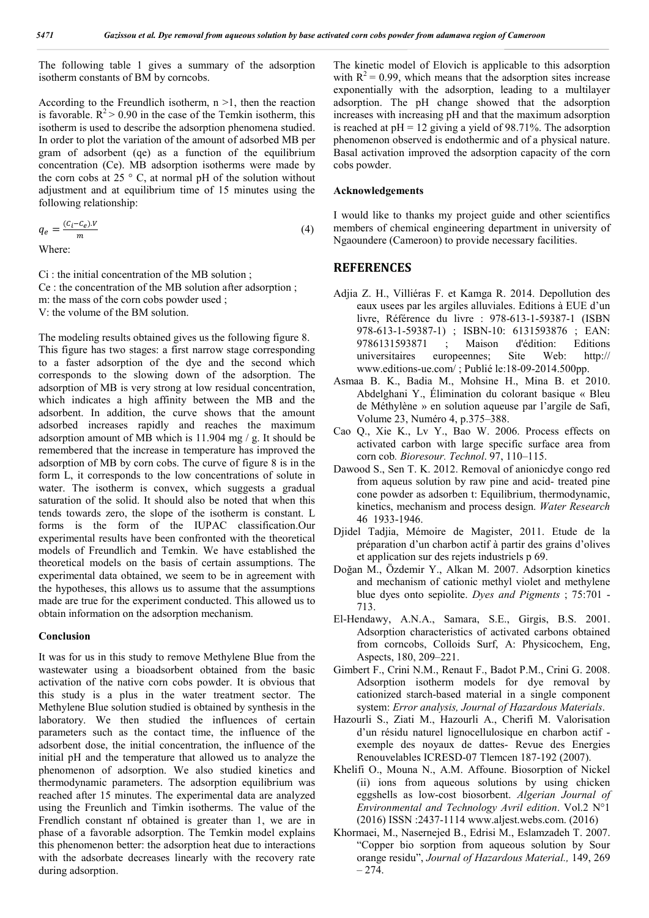The following table 1 gives a summary of the adsorption isotherm constants of BM by corncobs.

According to the Freundlich isotherm,  $n > 1$ , then the reaction is favorable.  $R^2 > 0.90$  in the case of the Temkin isotherm, this isotherm is used to describe the adsorption phenomena studied. In order to plot the variation of the amount of adsorbed MB per gram of adsorbent (qe) as a function of the equilibrium concentration (Ce). MB adsorption isotherms were made by the corn cobs at 25  $\degree$  C, at normal pH of the solution without adjustment and at equilibrium time of 15 minutes using the following relationship:

 $q_e = \frac{(c_i - c_e)N}{m}$  $\frac{1}{m}$  (4)

Where:

Ci : the initial concentration of the MB solution ; Ce : the concentration of the MB solution after adsorption ; m: the mass of the corn cobs powder used ;

V: the volume of the BM solution.

The modeling results obtained gives us the following figure 8. This figure has two stages: a first narrow stage corresponding to a faster adsorption of the dye and the second which corresponds to the slowing down of the adsorption. The adsorption of MB is very strong at low residual concentration, which indicates a high affinity between the MB and the adsorbent. In addition, the curve shows that the amount adsorbed increases rapidly and reaches the maximum adsorption amount of MB which is 11.904 mg / g. It should be remembered that the increase in temperature has improved the adsorption of MB by corn cobs. The curve of figure 8 is in the form L, it corresponds to the low concentrations of solute in water. The isotherm is convex, which suggests a gradual saturation of the solid. It should also be noted that when this tends towards zero, the slope of the isotherm is constant. L forms is the form of the IUPAC classification.Our experimental results have been confronted with the theoretical models of Freundlich and Temkin. We have established the theoretical models on the basis of certain assumptions. The experimental data obtained, we seem to be in agreement with the hypotheses, this allows us to assume that the assumptions made are true for the experiment conducted. This allowed us to obtain information on the adsorption mechanism.

#### **Conclusion**

It was for us in this study to remove Methylene Blue from the wastewater using a bioadsorbent obtained from the basic activation of the native corn cobs powder. It is obvious that this study is a plus in the water treatment sector. The Methylene Blue solution studied is obtained by synthesis in the laboratory. We then studied the influences of certain parameters such as the contact time, the influence of the adsorbent dose, the initial concentration, the influence of the initial pH and the temperature that allowed us to analyze the phenomenon of adsorption. We also studied kinetics and thermodynamic parameters. The adsorption equilibrium was reached after 15 minutes. The experimental data are analyzed using the Freunlich and Timkin isotherms. The value of the Frendlich constant nf obtained is greater than 1, we are in phase of a favorable adsorption. The Temkin model explains this phenomenon better: the adsorption heat due to interactions with the adsorbate decreases linearly with the recovery rate during adsorption.

The kinetic model of Elovich is applicable to this adsorption with  $R^2 = 0.99$ , which means that the adsorption sites increase exponentially with the adsorption, leading to a multilayer adsorption. The pH change showed that the adsorption increases with increasing pH and that the maximum adsorption is reached at  $pH = 12$  giving a yield of 98.71%. The adsorption phenomenon observed is endothermic and of a physical nature. Basal activation improved the adsorption capacity of the corn cobs powder.

#### **Acknowledgements**

I would like to thanks my project guide and other scientifics members of chemical engineering department in university of Ngaoundere (Cameroon) to provide necessary facilities.

#### **REFERENCES**

- Adjia Z. H., Villiéras F. et Kamga R. 2014. Depollution des eaux usees par les argiles alluviales. Editions à EUE d'un livre, Référence du livre : 978-613-1-59387-1 (ISBN 978-613-1-59387-1) ; ISBN-10: 6131593876 ; EAN: 9786131593871 ; Maison d'édition: Editions universitaires europeennes; Site Web: http:// www.editions-ue.com/ ; Publié le:18-09-2014.500pp.
- Asmaa B. K., Badia M., Mohsine H., Mina B. et 2010. Abdelghani Y., Élimination du colorant basique « Bleu de Méthylène » en solution aqueuse par l'argile de Safi, Volume 23, Numéro 4, p.375–388.
- Cao Q., Xie K., Lv Y., Bao W. 2006. Process effects on activated carbon with large specific surface area from corn cob*. Bioresour. Technol*. 97, 110–115.
- Dawood S., Sen T. K. 2012. Removal of anionicdye congo red from aqueus solution by raw pine and acid- treated pine cone powder as adsorben t: Equilibrium, thermodynamic, kinetics, mechanism and process design. *Water Research* 46 1933-1946.
- Djidel Tadjia, Mémoire de Magister, 2011. Etude de la préparation d'un charbon actif à partir des grains d'olives et application sur des rejets industriels p 69.
- Doğan M., Özdemir Y., Alkan M. 2007. Adsorption kinetics and mechanism of cationic methyl violet and methylene blue dyes onto sepiolite. *Dyes and Pigments* ; 75:701 - 713.
- El-Hendawy, A.N.A., Samara, S.E., Girgis, B.S. 2001. Adsorption characteristics of activated carbons obtained from corncobs, Colloids Surf, A: Physicochem, Eng, Aspects, 180, 209–221.
- Gimbert F., Crini N.M., Renaut F., Badot P.M., Crini G. 2008. Adsorption isotherm models for dye removal by cationized starch-based material in a single component system: *Error analysis, Journal of Hazardous Materials*.
- Hazourli S., Ziati M., Hazourli A., Cherifi M. Valorisation d'un résidu naturel lignocellulosique en charbon actif exemple des noyaux de dattes- Revue des Energies Renouvelables ICRESD-07 Tlemcen 187-192 (2007).
- Khelifi O., Mouna N., A.M. Affoune. Biosorption of Nickel (ii) ions from aqueous solutions by using chicken eggshells as low-cost biosorbent. *Algerian Journal of Environmental and Technology Avril edition*. Vol.2 N°1 (2016) ISSN :2437-1114 www.aljest.webs.com. (2016)
- Khormaei, M., Nasernejed B., Edrisi M., Eslamzadeh T. 2007. "Copper bio sorption from aqueous solution by Sour orange residu", *Journal of Hazardous Material.,* 149, 269  $-274.$